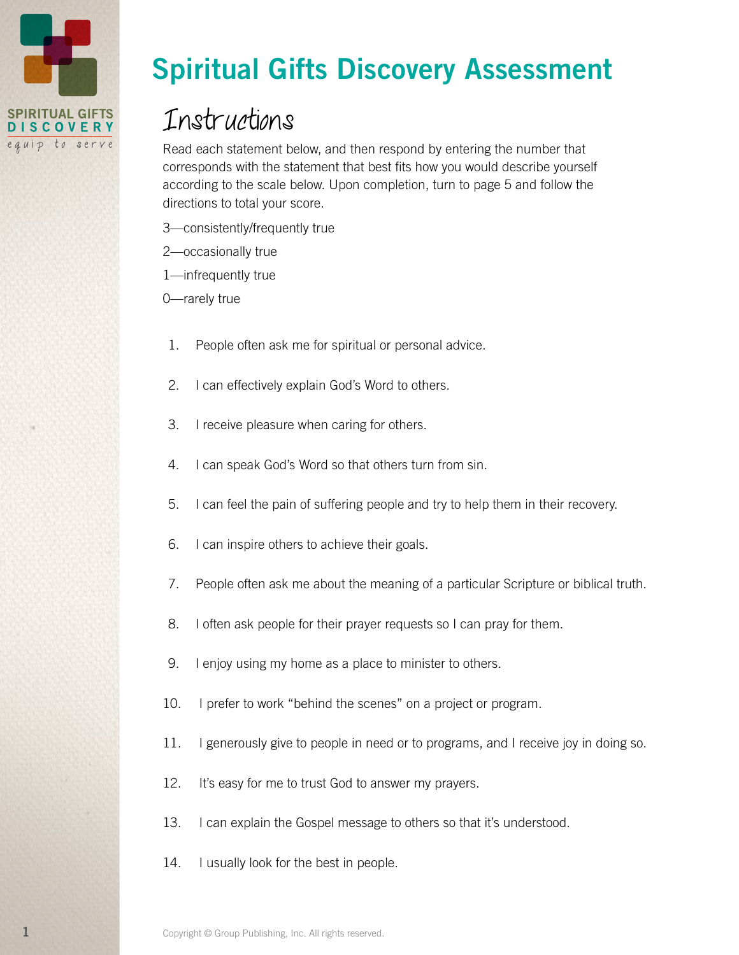

# Spiritual Gifts Discovery Assessment

### Instructions

Read each statement below, and then respond by entering the number that corresponds with the statement that best fits how you would describe yourself according to the scale below. Upon completion, turn to page 5 and follow the directions to total your score.

- 3—consistently/frequently true
- 2—occasionally true
- 1—infrequently true
- 0—rarely true
- 1. People often ask me for spiritual or personal advice.
- 2. I can effectively explain God's Word to others.
- 3. I receive pleasure when caring for others.
- 4. I can speak God's Word so that others turn from sin.
- 5. I can feel the pain of suffering people and try to help them in their recovery.
- 6. I can inspire others to achieve their goals.
- 7. People often ask me about the meaning of a particular Scripture or biblical truth.
- 8. I often ask people for their prayer requests so I can pray for them.
- 9. I enjoy using my home as a place to minister to others.
- 10. I prefer to work "behind the scenes" on a project or program.
- 11. I generously give to people in need or to programs, and I receive joy in doing so.
- 12. It's easy for me to trust God to answer my prayers.
- 13. I can explain the Gospel message to others so that it's understood.
- 14. I usually look for the best in people.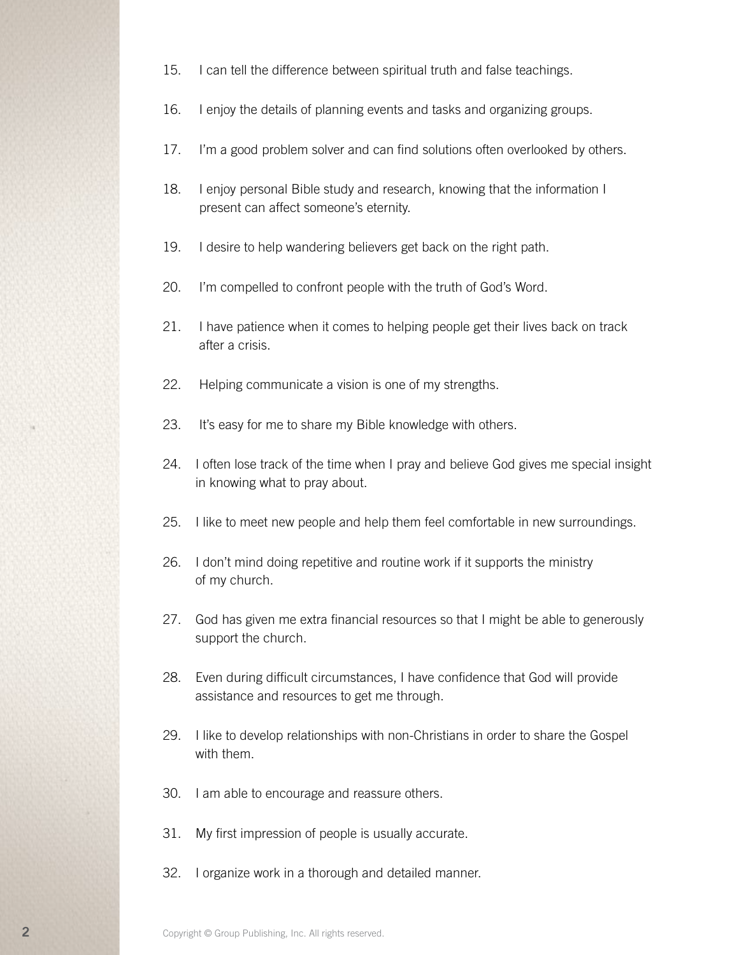- 15. I can tell the difference between spiritual truth and false teachings.
- 16. I enjoy the details of planning events and tasks and organizing groups.
- 17. I'm a good problem solver and can find solutions often overlooked by others.
- 18. I enjoy personal Bible study and research, knowing that the information I present can affect someone's eternity.
- 19. I desire to help wandering believers get back on the right path.
- 20. I'm compelled to confront people with the truth of God's Word.
- 21. I have patience when it comes to helping people get their lives back on track after a crisis.
- 22. Helping communicate a vision is one of my strengths.
- 23. It's easy for me to share my Bible knowledge with others.
- 24. I often lose track of the time when I pray and believe God gives me special insight in knowing what to pray about.
- 25. I like to meet new people and help them feel comfortable in new surroundings.
- 26. I don't mind doing repetitive and routine work if it supports the ministry of my church.
- 27. God has given me extra financial resources so that I might be able to generously support the church.
- 28. Even during difficult circumstances, I have confidence that God will provide assistance and resources to get me through.
- 29. I like to develop relationships with non-Christians in order to share the Gospel with them.
- 30. I am able to encourage and reassure others.
- 31. My first impression of people is usually accurate.
- 32. I organize work in a thorough and detailed manner.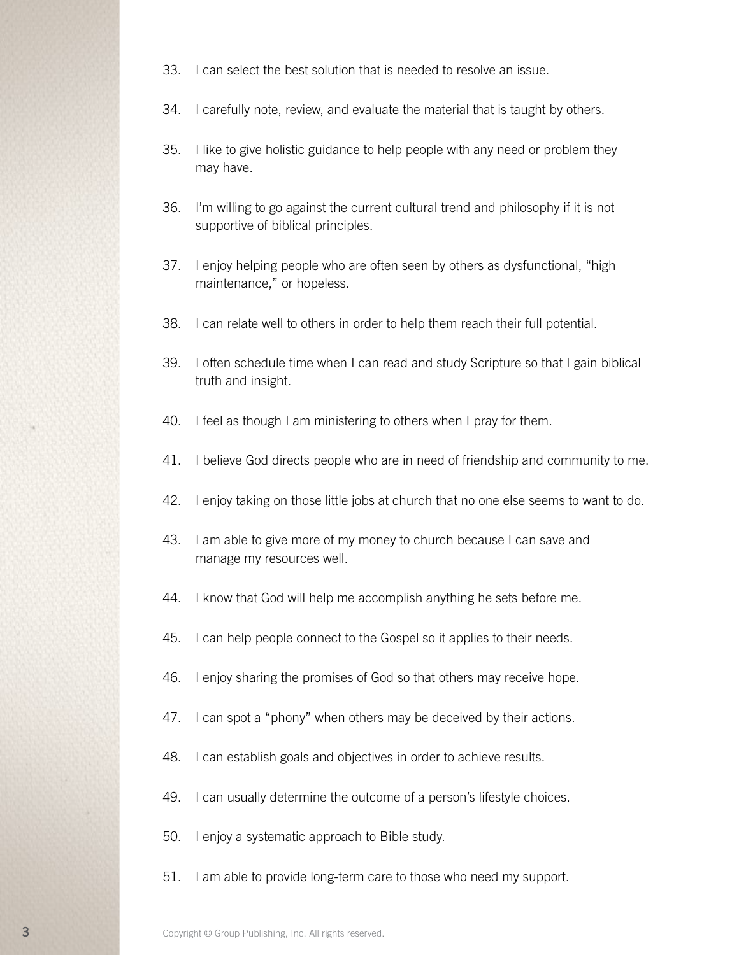- 33. I can select the best solution that is needed to resolve an issue.
- 34. I carefully note, review, and evaluate the material that is taught by others.
- 35. I like to give holistic guidance to help people with any need or problem they may have.
- 36. I'm willing to go against the current cultural trend and philosophy if it is not supportive of biblical principles.
- 37. I enjoy helping people who are often seen by others as dysfunctional, "high maintenance," or hopeless.
- 38. I can relate well to others in order to help them reach their full potential.
- 39. I often schedule time when I can read and study Scripture so that I gain biblical truth and insight.
- 40. I feel as though I am ministering to others when I pray for them.
- 41. I believe God directs people who are in need of friendship and community to me.
- 42. I enjoy taking on those little jobs at church that no one else seems to want to do.
- 43. I am able to give more of my money to church because I can save and manage my resources well.
- 44. I know that God will help me accomplish anything he sets before me.
- 45. I can help people connect to the Gospel so it applies to their needs.
- 46. I enjoy sharing the promises of God so that others may receive hope.
- 47. I can spot a "phony" when others may be deceived by their actions.
- 48. I can establish goals and objectives in order to achieve results.
- 49. I can usually determine the outcome of a person's lifestyle choices.
- 50. I enjoy a systematic approach to Bible study.
- 51. I am able to provide long-term care to those who need my support.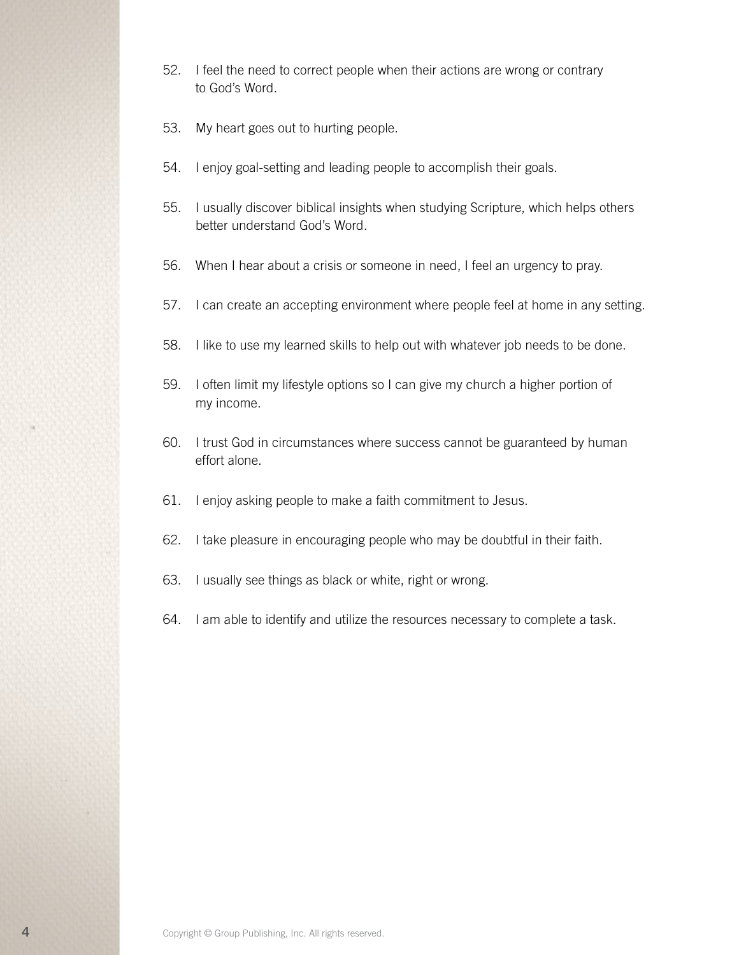- 52. I feel the need to correct people when their actions are wrong or contrary to God's Word.
- 53. My heart goes out to hurting people.
- 54. I enjoy goal-setting and leading people to accomplish their goals.
- 55. I usually discover biblical insights when studying Scripture, which helps others better understand God's Word.
- 56. When I hear about a crisis or someone in need, I feel an urgency to pray.
- 57. I can create an accepting environment where people feel at home in any setting.
- 58. I like to use my learned skills to help out with whatever job needs to be done.
- 59. I often limit my lifestyle options so I can give my church a higher portion of my income.
- 60. I trust God in circumstances where success cannot be guaranteed by human effort alone.
- 61. I enjoy asking people to make a faith commitment to Jesus.
- 62. I take pleasure in encouraging people who may be doubtful in their faith.
- 63. I usually see things as black or white, right or wrong.
- 64. I am able to identify and utilize the resources necessary to complete a task.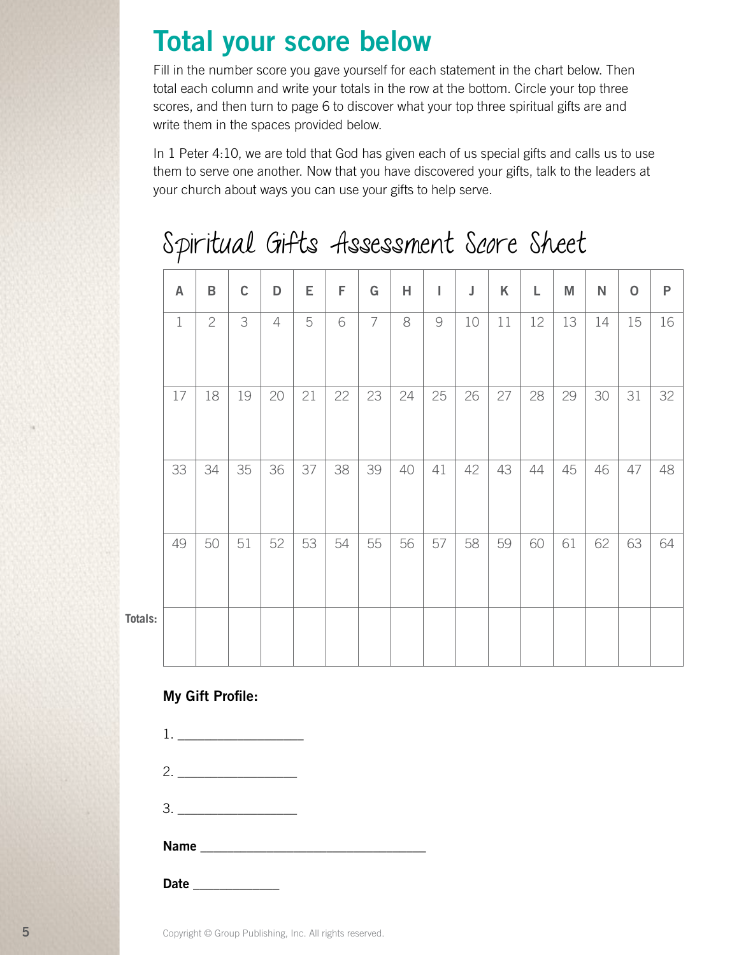#### Total your score below

Fill in the number score you gave yourself for each statement in the chart below. Then total each column and write your totals in the row at the bottom. Circle your top three scores, and then turn to page 6 to discover what your top three spiritual gifts are and write them in the spaces provided below.

In 1 Peter 4:10, we are told that God has given each of us special gifts and calls us to use them to serve one another. Now that you have discovered your gifts, talk to the leaders at your church about ways you can use your gifts to help serve.

#### Spiritual Gifts Assessment Score Sheet

|         | $\overline{\mathsf{A}}$ | $\sf{B}$     | $\mathsf C$ | D              | E  | F  | G              | H  | I  | $\mathsf J$ | Κ  | L  | M  | $\mathsf{N}$ | $\mathbf 0$ | $\mathsf{P}$ |
|---------|-------------------------|--------------|-------------|----------------|----|----|----------------|----|----|-------------|----|----|----|--------------|-------------|--------------|
|         | $1\,$                   | $\mathbf{2}$ | 3           | $\overline{4}$ | 5  | 6  | $\overline{7}$ | 8  | 9  | 10          | 11 | 12 | 13 | 14           | 15          | 16           |
|         | 17                      | 18           | 19          | 20             | 21 | 22 | 23             | 24 | 25 | 26          | 27 | 28 | 29 | 30           | 31          | 32           |
|         | 33                      | 34           | 35          | 36             | 37 | 38 | 39             | 40 | 41 | 42          | 43 | 44 | 45 | 46           | 47          | 48           |
|         | 49                      | 50           | 51          | 52             | 53 | 54 | 55             | 56 | 57 | 58          | 59 | 60 | 61 | 62           | 63          | 64           |
| Totals: |                         |              |             |                |    |    |                |    |    |             |    |    |    |              |             |              |

My Gift Profile:

1. 2. \_\_\_\_\_\_\_\_\_\_\_\_\_\_\_\_\_\_ 3. \_\_\_\_\_\_\_\_\_\_\_\_\_\_\_\_\_\_ Name **Name** Date \_\_\_\_\_\_\_\_\_\_\_\_\_

5 Copyright © Group Publishing, Inc. All rights reserved.